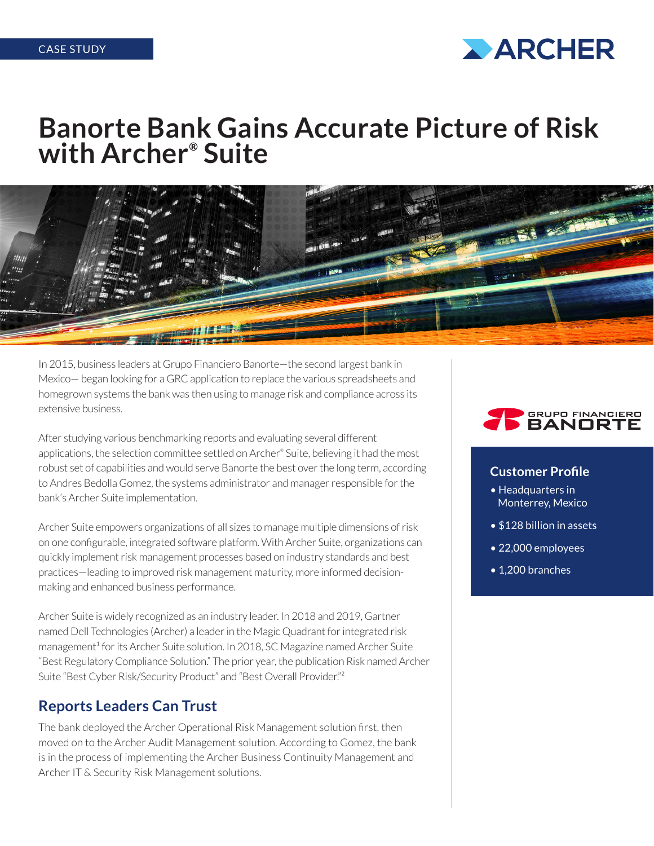

# **Banorte Bank Gains Accurate Picture of Risk with Archer® Suite**



In 2015, business leaders at Grupo Financiero Banorte—the second largest bank in Mexico— began looking for a GRC application to replace the various spreadsheets and homegrown systems the bank was then using to manage risk and compliance across its extensive business.

After studying various benchmarking reports and evaluating several different applications, the selection committee settled on Archer® Suite, believing it had the most robust set of capabilities and would serve Banorte the best over the long term, according to Andres Bedolla Gomez, the systems administrator and manager responsible for the bank's Archer Suite implementation.

Archer Suite empowers organizations of all sizes to manage multiple dimensions of risk on one configurable, integrated software platform. With Archer Suite, organizations can quickly implement risk management processes based on industry standards and best practices—leading to improved risk management maturity, more informed decisionmaking and enhanced business performance.

Archer Suite is widely recognized as an industry leader. In 2018 and 2019, Gartner named Dell Technologies (Archer) a leader in the Magic Quadrant for integrated risk management<sup>1</sup> for its Archer Suite solution. In 2018, SC Magazine named Archer Suite "Best Regulatory Compliance Solution." The prior year, the publication Risk named Archer Suite "Best Cyber Risk/Security Product" and "Best Overall Provider."²

## **Reports Leaders Can Trust**

The bank deployed the Archer Operational Risk Management solution first, then moved on to the Archer Audit Management solution. According to Gomez, the bank is in the process of implementing the Archer Business Continuity Management and Archer IT & Security Risk Management solutions.



#### **Customer Profile**

- Headquarters in Monterrey, Mexico
- \$128 billion in assets
- 22,000 employees
- 1,200 branches